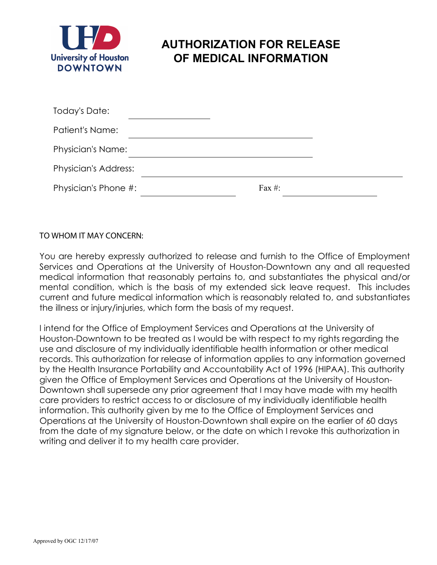

## **AUTHORIZATION FOR RELEASE OF MEDICAL INFORMATION**

| Today's Date:               |           |  |
|-----------------------------|-----------|--|
| Patient's Name:             |           |  |
| <b>Physician's Name:</b>    |           |  |
| <b>Physician's Address:</b> |           |  |
| Physician's Phone #:        | Fax $#$ : |  |

## TO WHOM IT MAY CONCERN:

You are hereby expressly authorized to release and furnish to the Office of Employment Services and Operations at the University of Houston-Downtown any and all requested medical information that reasonably pertains to, and substantiates the physical and/or mental condition, which is the basis of my extended sick leave request. This includes current and future medical information which is reasonably related to, and substantiates the illness or injury/injuries, which form the basis of my request.

I intend for the Office of Employment Services and Operations at the University of Houston-Downtown to be treated as I would be with respect to my rights regarding the use and disclosure of my individually identifiable health information or other medical records. This authorization for release of information applies to any information governed by the Health Insurance Portability and Accountability Act of 1996 (HIPAA). This authority given the Office of Employment Services and Operations at the University of Houston-Downtown shall supersede any prior agreement that I may have made with my health care providers to restrict access to or disclosure of my individually identifiable health information. This authority given by me to the Office of Employment Services and Operations at the University of Houston-Downtown shall expire on the earlier of 60 days from the date of my signature below, or the date on which I revoke this authorization in writing and deliver it to my health care provider.